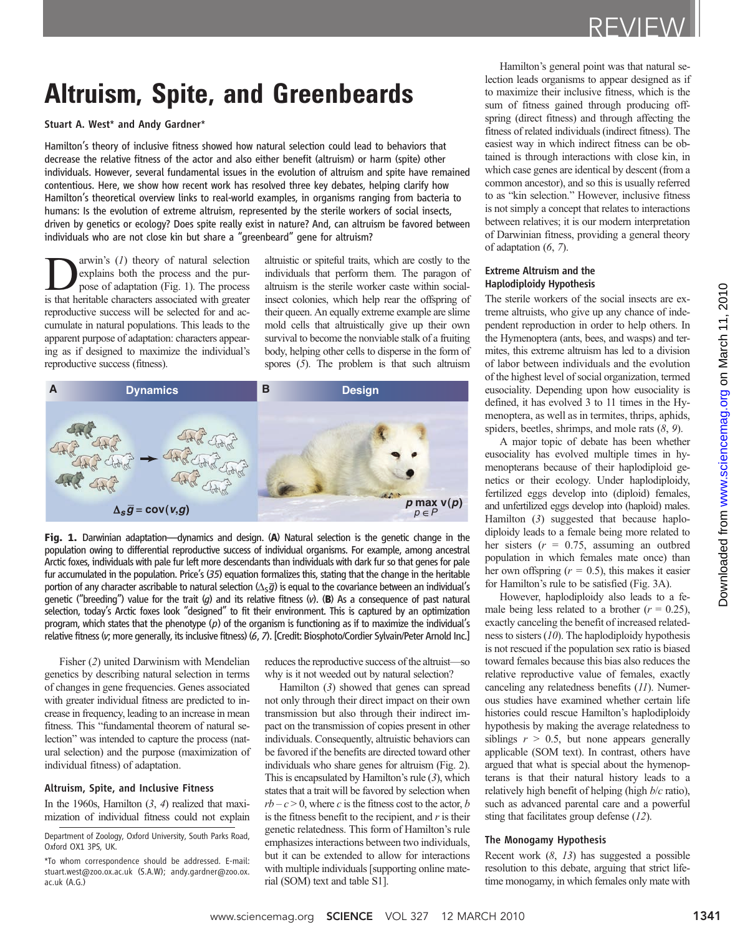# Altruism, Spite, and Greenbeards

Stuart A. West\* and Andy Gardner\*

Hamilton's theory of inclusive fitness showed how natural selection could lead to behaviors that decrease the relative fitness of the actor and also either benefit (altruism) or harm (spite) other individuals. However, several fundamental issues in the evolution of altruism and spite have remained contentious. Here, we show how recent work has resolved three key debates, helping clarify how Hamilton's theoretical overview links to real-world examples, in organisms ranging from bacteria to humans: Is the evolution of extreme altruism, represented by the sterile workers of social insects, driven by genetics or ecology? Does spite really exist in nature? And, can altruism be favored between individuals who are not close kin but share a "greenbeard" gene for altruism?

arwin's  $(I)$  theory of natural selection explains both the process and the purpose of adaptation (Fig. 1). The process is that heritable characters associated with greater reproductive success will be selected for and accumulate in natural populations. This leads to the apparent purpose of adaptation: characters appearing as if designed to maximize the individual's reproductive success (fitness).

altruistic or spiteful traits, which are costly to the individuals that perform them. The paragon of altruism is the sterile worker caste within socialinsect colonies, which help rear the offspring of their queen. An equally extreme example are slime mold cells that altruistically give up their own survival to become the nonviable stalk of a fruiting body, helping other cells to disperse in the form of spores (5). The problem is that such altruism



Fig. 1. Darwinian adaptation—dynamics and design. (A) Natural selection is the genetic change in the population owing to differential reproductive success of individual organisms. For example, among ancestral Arctic foxes, individuals with pale fur left more descendants than individuals with dark fur so that genes for pale fur accumulated in the population. Price's  $(35)$  equation formalizes this, stating that the change in the heritable portion of any character ascribable to natural selection  $(\Delta_S \overline{g})$  is equal to the covariance between an individual's genetic ("breeding") value for the trait (q) and its relative fitness (v). (B) As a consequence of past natural selection, today's Arctic foxes look "designed" to fit their environment. This is captured by an optimization program, which states that the phenotype  $(p)$  of the organism is functioning as if to maximize the individual's relative fitness (v; more generally, its inclusive fitness) (6, 7). [Credit: Biosphoto/Cordier Sylvain/Peter Arnold Inc.]

Fisher (2) united Darwinism with Mendelian genetics by describing natural selection in terms of changes in gene frequencies. Genes associated with greater individual fitness are predicted to increase in frequency, leading to an increase in mean fitness. This "fundamental theorem of natural selection" was intended to capture the process (natural selection) and the purpose (maximization of individual fitness) of adaptation.

#### Altruism, Spite, and Inclusive Fitness

In the 1960s, Hamilton  $(3, 4)$  realized that maximization of individual fitness could not explain

Department of Zoology, Oxford University, South Parks Road, Oxford OX1 3PS, UK.

reduces the reproductive success of the altruist—so why is it not weeded out by natural selection?

Hamilton (3) showed that genes can spread not only through their direct impact on their own transmission but also through their indirect impact on the transmission of copies present in other individuals. Consequently, altruistic behaviors can be favored if the benefits are directed toward other individuals who share genes for altruism (Fig. 2). This is encapsulated by Hamilton's rule  $(3)$ , which states that a trait will be favored by selection when  $rb - c > 0$ , where c is the fitness cost to the actor, b is the fitness benefit to the recipient, and  $r$  is their genetic relatedness. This form of Hamilton's rule emphasizes interactions between two individuals, but it can be extended to allow for interactions with multiple individuals [supporting online material (SOM) text and table S1].

Hamilton's general point was that natural selection leads organisms to appear designed as if to maximize their inclusive fitness, which is the sum of fitness gained through producing offspring (direct fitness) and through affecting the fitness of related individuals (indirect fitness). The easiest way in which indirect fitness can be obtained is through interactions with close kin, in which case genes are identical by descent (from a common ancestor), and so this is usually referred to as "kin selection." However, inclusive fitness is not simply a concept that relates to interactions between relatives; it is our modern interpretation of Darwinian fitness, providing a general theory of adaptation (6, 7).

#### Extreme Altruism and the Haplodiploidy Hypothesis

The sterile workers of the social insects are extreme altruists, who give up any chance of independent reproduction in order to help others. In the Hymenoptera (ants, bees, and wasps) and termites, this extreme altruism has led to a division of labor between individuals and the evolution of the highest level of social organization, termed eusociality. Depending upon how eusociality is defined, it has evolved 3 to 11 times in the Hymenoptera, as well as in termites, thrips, aphids, spiders, beetles, shrimps, and mole rats  $(8, 9)$ .

A major topic of debate has been whether eusociality has evolved multiple times in hymenopterans because of their haplodiploid genetics or their ecology. Under haplodiploidy, fertilized eggs develop into (diploid) females, and unfertilized eggs develop into (haploid) males. Hamilton (3) suggested that because haplodiploidy leads to a female being more related to her sisters ( $r = 0.75$ , assuming an outbred population in which females mate once) than her own offspring  $(r = 0.5)$ , this makes it easier for Hamilton's rule to be satisfied (Fig. 3A).

However, haplodiploidy also leads to a female being less related to a brother  $(r = 0.25)$ , exactly canceling the benefit of increased relatedness to sisters (10). The haplodiploidy hypothesis is not rescued if the population sex ratio is biased toward females because this bias also reduces the relative reproductive value of females, exactly canceling any relatedness benefits (11). Numerous studies have examined whether certain life histories could rescue Hamilton's haplodiploidy hypothesis by making the average relatedness to siblings  $r > 0.5$ , but none appears generally applicable (SOM text). In contrast, others have argued that what is special about the hymenopterans is that their natural history leads to a relatively high benefit of helping (high  $b/c$  ratio), such as advanced parental care and a powerful sting that facilitates group defense (12). eprocess of the state and the state with the state of the state of the state of the state and the state of the state of the state of the state of the state of the state of the state of the state of the state of the state

#### The Monogamy Hypothesis

Recent work  $(8, 13)$  has suggested a possible resolution to this debate, arguing that strict lifetime monogamy, in which females only mate with

<sup>\*</sup>To whom correspondence should be addressed. E-mail: stuart.west@zoo.ox.ac.uk (S.A.W); andy.gardner@zoo.ox. ac.uk (A.G.)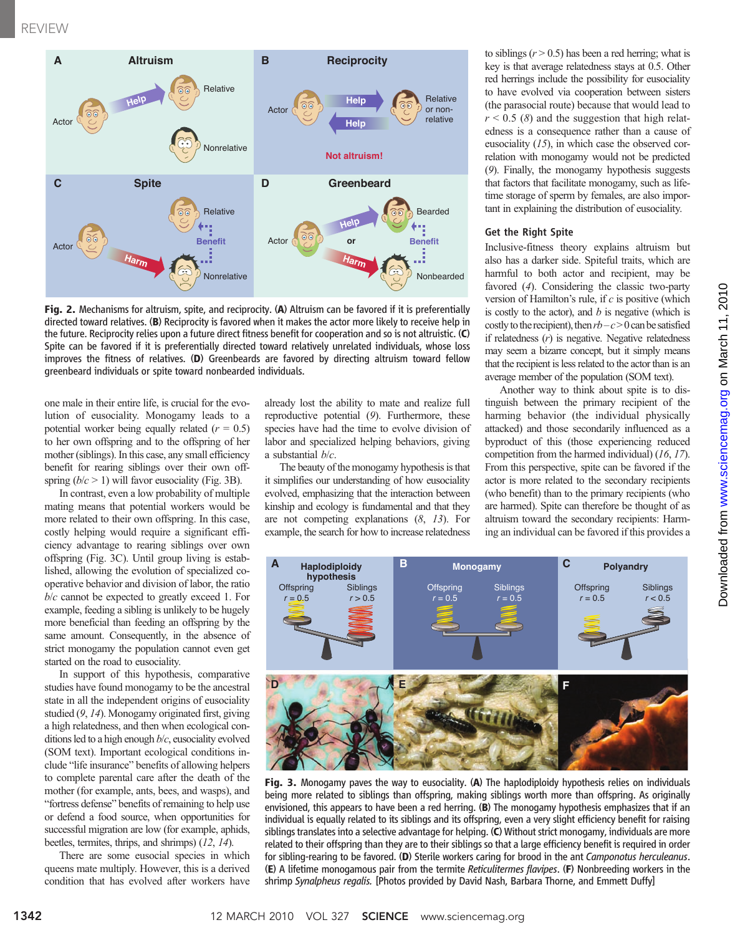

Fig. 2. Mechanisms for altruism, spite, and reciprocity. (A) Altruism can be favored if it is preferentially directed toward relatives. (B) Reciprocity is favored when it makes the actor more likely to receive help in the future. Reciprocity relies upon a future direct fitness benefit for cooperation and so is not altruistic. (C) Spite can be favored if it is preferentially directed toward relatively unrelated individuals, whose loss improves the fitness of relatives. (D) Greenbeards are favored by directing altruism toward fellow greenbeard individuals or spite toward nonbearded individuals.

one male in their entire life, is crucial for the evolution of eusociality. Monogamy leads to a potential worker being equally related  $(r = 0.5)$ to her own offspring and to the offspring of her mother (siblings). In this case, any small efficiency benefit for rearing siblings over their own offspring  $(b/c > 1)$  will favor eusociality (Fig. 3B).

In contrast, even a low probability of multiple mating means that potential workers would be more related to their own offspring. In this case, costly helping would require a significant efficiency advantage to rearing siblings over own offspring (Fig. 3C). Until group living is established, allowing the evolution of specialized cooperative behavior and division of labor, the ratio  $b/c$  cannot be expected to greatly exceed 1. For example, feeding a sibling is unlikely to be hugely more beneficial than feeding an offspring by the same amount. Consequently, in the absence of strict monogamy the population cannot even get started on the road to eusociality.

In support of this hypothesis, comparative studies have found monogamy to be the ancestral state in all the independent origins of eusociality studied (9, 14). Monogamy originated first, giving a high relatedness, and then when ecological conditions led to a high enough b/c, eusociality evolved (SOM text). Important ecological conditions include "life insurance" benefits of allowing helpers to complete parental care after the death of the mother (for example, ants, bees, and wasps), and "fortress defense" benefits of remaining to help use or defend a food source, when opportunities for successful migration are low (for example, aphids, beetles, termites, thrips, and shrimps) (12, 14).

There are some eusocial species in which queens mate multiply. However, this is a derived condition that has evolved after workers have already lost the ability to mate and realize full reproductive potential (9). Furthermore, these species have had the time to evolve division of labor and specialized helping behaviors, giving a substantial  $b/c$ .

The beauty of the monogamy hypothesis is that it simplifies our understanding of how eusociality evolved, emphasizing that the interaction between kinship and ecology is fundamental and that they are not competing explanations (8, 13). For example, the search for how to increase relatedness

to siblings  $(r > 0.5)$  has been a red herring; what is key is that average relatedness stays at 0.5. Other red herrings include the possibility for eusociality to have evolved via cooperation between sisters (the parasocial route) because that would lead to  $r < 0.5$  (8) and the suggestion that high relatedness is a consequence rather than a cause of eusociality  $(15)$ , in which case the observed correlation with monogamy would not be predicted (9). Finally, the monogamy hypothesis suggests that factors that facilitate monogamy, such as lifetime storage of sperm by females, are also important in explaining the distribution of eusociality.

#### Get the Right Spite

Inclusive-fitness theory explains altruism but also has a darker side. Spiteful traits, which are harmful to both actor and recipient, may be favored (4). Considering the classic two-party version of Hamilton's rule, if  $c$  is positive (which is costly to the actor), and  $b$  is negative (which is costly to the recipient), then  $rb-c>0$  can be satisfied if relatedness  $(r)$  is negative. Negative relatedness may seem a bizarre concept, but it simply means that the recipient is less related to the actor than is an average member of the population (SOM text).

Another way to think about spite is to distinguish between the primary recipient of the harming behavior (the individual physically attacked) and those secondarily influenced as a byproduct of this (those experiencing reduced competition from the harmed individual) (16, 17). From this perspective, spite can be favored if the actor is more related to the secondary recipients (who benefit) than to the primary recipients (who are harmed). Spite can therefore be thought of as altruism toward the secondary recipients: Harming an individual can be favored if this provides a





Fig. 3. Monogamy paves the way to eusociality. (A) The haplodiploidy hypothesis relies on individuals being more related to siblings than offspring, making siblings worth more than offspring. As originally envisioned, this appears to have been a red herring. (B) The monogamy hypothesis emphasizes that if an individual is equally related to its siblings and its offspring, even a very slight efficiency benefit for raising siblings translates into a selective advantage for helping. (C) Without strict monogamy, individuals are more related to their offspring than they are to their siblings so that a large efficiency benefit is required in order for sibling-rearing to be favored. (D) Sterile workers caring for brood in the ant Camponotus herculeanus. (E) A lifetime monogamous pair from the termite Reticulitermes flavipes. (F) Nonbreeding workers in the shrimp Synalpheus regalis. [Photos provided by David Nash, Barbara Thorne, and Emmett Duffy]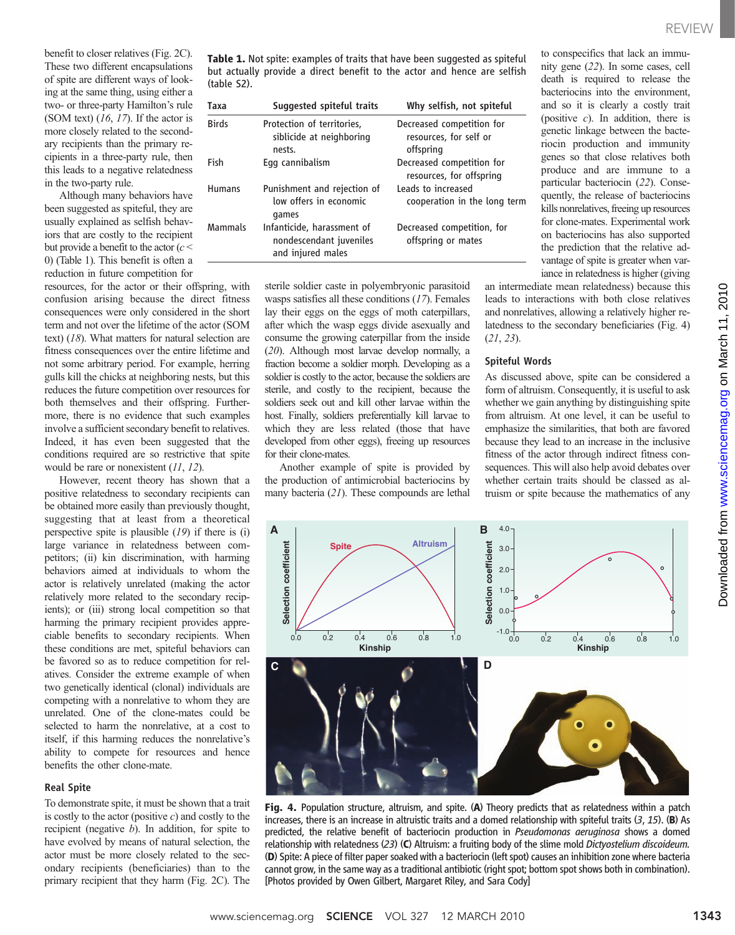benefit to closer relatives (Fig. 2C). These two different encapsulations of spite are different ways of looking at the same thing, using either a two- or three-party Hamilton's rule (SOM text)  $(16, 17)$ . If the actor is more closely related to the secondary recipients than the primary recipients in a three-party rule, then this leads to a negative relatedness in the two-party rule.

Although many behaviors have been suggested as spiteful, they are usually explained as selfish behaviors that are costly to the recipient but provide a benefit to the actor  $(c <$ 0) (Table 1). This benefit is often a reduction in future competition for

resources, for the actor or their offspring, with confusion arising because the direct fitness consequences were only considered in the short term and not over the lifetime of the actor (SOM text) (18). What matters for natural selection are fitness consequences over the entire lifetime and not some arbitrary period. For example, herring gulls kill the chicks at neighboring nests, but this reduces the future competition over resources for both themselves and their offspring. Furthermore, there is no evidence that such examples involve a sufficient secondary benefit to relatives. Indeed, it has even been suggested that the conditions required are so restrictive that spite would be rare or nonexistent  $(11, 12)$ .

However, recent theory has shown that a positive relatedness to secondary recipients can be obtained more easily than previously thought, suggesting that at least from a theoretical perspective spite is plausible  $(19)$  if there is  $(i)$ large variance in relatedness between competitors; (ii) kin discrimination, with harming behaviors aimed at individuals to whom the actor is relatively unrelated (making the actor relatively more related to the secondary recipients); or (iii) strong local competition so that harming the primary recipient provides appreciable benefits to secondary recipients. When these conditions are met, spiteful behaviors can be favored so as to reduce competition for relatives. Consider the extreme example of when two genetically identical (clonal) individuals are competing with a nonrelative to whom they are unrelated. One of the clone-mates could be selected to harm the nonrelative, at a cost to itself, if this harming reduces the nonrelative's ability to compete for resources and hence benefits the other clone-mate.

#### Real Spite

To demonstrate spite, it must be shown that a trait is costly to the actor (positive  $c$ ) and costly to the recipient (negative  $b$ ). In addition, for spite to have evolved by means of natural selection, the actor must be more closely related to the secondary recipients (beneficiaries) than to the primary recipient that they harm (Fig. 2C). The

Table 1. Not spite: examples of traits that have been suggested as spiteful but actually provide a direct benefit to the actor and hence are selfish (table S2).

| Taxa          | Suggested spiteful traits                                                  | Why selfish, not spiteful                                        |
|---------------|----------------------------------------------------------------------------|------------------------------------------------------------------|
| <b>Birds</b>  | Protection of territories,<br>siblicide at neighboring<br>nests.           | Decreased competition for<br>resources, for self or<br>offspring |
| Fish          | Egg cannibalism                                                            | Decreased competition for<br>resources, for offspring            |
| <b>Humans</b> | Punishment and rejection of<br>low offers in economic<br>games             | Leads to increased<br>cooperation in the long term               |
| Mammals       | Infanticide, harassment of<br>nondescendant juveniles<br>and injured males | Decreased competition, for<br>offspring or mates                 |

sterile soldier caste in polyembryonic parasitoid wasps satisfies all these conditions (17). Females lay their eggs on the eggs of moth caterpillars, after which the wasp eggs divide asexually and consume the growing caterpillar from the inside (20). Although most larvae develop normally, a fraction become a soldier morph. Developing as a soldier is costly to the actor, because the soldiers are sterile, and costly to the recipient, because the soldiers seek out and kill other larvae within the host. Finally, soldiers preferentially kill larvae to which they are less related (those that have developed from other eggs), freeing up resources for their clone-mates.

Another example of spite is provided by the production of antimicrobial bacteriocins by many bacteria (21). These compounds are lethal to conspecifics that lack an immunity gene (22). In some cases, cell death is required to release the bacteriocins into the environment, and so it is clearly a costly trait (positive  $c$ ). In addition, there is genetic linkage between the bacteriocin production and immunity genes so that close relatives both produce and are immune to a particular bacteriocin (22). Consequently, the release of bacteriocins kills nonrelatives, freeing up resources for clone-mates. Experimental work on bacteriocins has also supported the prediction that the relative advantage of spite is greater when variance in relatedness is higher (giving

an intermediate mean relatedness) because this leads to interactions with both close relatives and nonrelatives, allowing a relatively higher relatedness to the secondary beneficiaries (Fig. 4) (21, 23).

#### Spiteful Words

As discussed above, spite can be considered a form of altruism. Consequently, it is useful to ask whether we gain anything by distinguishing spite from altruism. At one level, it can be useful to emphasize the similarities, that both are favored because they lead to an increase in the inclusive fitness of the actor through indirect fitness consequences. This will also help avoid debates over whether certain traits should be classed as altruism or spite because the mathematics of any

Downloaded from



Fig. 4. Population structure, altruism, and spite. (A) Theory predicts that as relatedness within a patch increases, there is an increase in altruistic traits and a domed relationship with spiteful traits  $(3, 15)$ . (B) As predicted, the relative benefit of bacteriocin production in Pseudomonas aeruginosa shows a domed relationship with relatedness (23) (C) Altruism: a fruiting body of the slime mold Dictyostelium discoideum. (D) Spite: A piece of filter paper soaked with a bacteriocin (left spot) causes an inhibition zone where bacteria cannot grow, in the same way as a traditional antibiotic (right spot; bottom spot shows both in combination). [Photos provided by Owen Gilbert, Margaret Riley, and Sara Cody]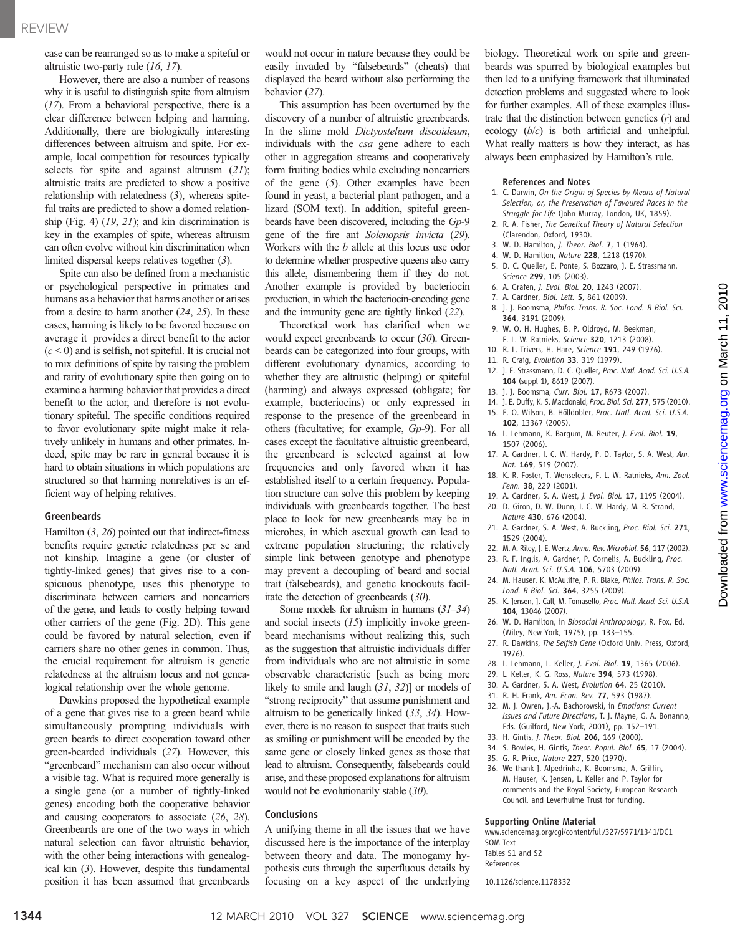#### REVIEW

case can be rearranged so as to make a spiteful or altruistic two-party rule (16, 17).

However, there are also a number of reasons why it is useful to distinguish spite from altruism (17). From a behavioral perspective, there is a clear difference between helping and harming. Additionally, there are biologically interesting differences between altruism and spite. For example, local competition for resources typically selects for spite and against altruism (21); altruistic traits are predicted to show a positive relationship with relatedness  $(3)$ , whereas spiteful traits are predicted to show a domed relationship (Fig. 4) (19, 21); and kin discrimination is key in the examples of spite, whereas altruism can often evolve without kin discrimination when limited dispersal keeps relatives together (3).

Spite can also be defined from a mechanistic or psychological perspective in primates and humans as a behavior that harms another or arises from a desire to harm another  $(24, 25)$ . In these cases, harming is likely to be favored because on average it provides a direct benefit to the actor  $(c < 0)$  and is selfish, not spiteful. It is crucial not to mix definitions of spite by raising the problem and rarity of evolutionary spite then going on to examine a harming behavior that provides a direct benefit to the actor, and therefore is not evolutionary spiteful. The specific conditions required to favor evolutionary spite might make it relatively unlikely in humans and other primates. Indeed, spite may be rare in general because it is hard to obtain situations in which populations are structured so that harming nonrelatives is an efficient way of helping relatives.

#### Greenbeards

Hamilton  $(3, 26)$  pointed out that indirect-fitness benefits require genetic relatedness per se and not kinship. Imagine a gene (or cluster of tightly-linked genes) that gives rise to a conspicuous phenotype, uses this phenotype to discriminate between carriers and noncarriers of the gene, and leads to costly helping toward other carriers of the gene (Fig. 2D). This gene could be favored by natural selection, even if carriers share no other genes in common. Thus, the crucial requirement for altruism is genetic relatedness at the altruism locus and not genealogical relationship over the whole genome.

Dawkins proposed the hypothetical example of a gene that gives rise to a green beard while simultaneously prompting individuals with green beards to direct cooperation toward other green-bearded individuals (27). However, this "greenbeard" mechanism can also occur without a visible tag. What is required more generally is a single gene (or a number of tightly-linked genes) encoding both the cooperative behavior and causing cooperators to associate (26, 28). Greenbeards are one of the two ways in which natural selection can favor altruistic behavior, with the other being interactions with genealogical kin (3). However, despite this fundamental position it has been assumed that greenbeards

would not occur in nature because they could be easily invaded by "falsebeards" (cheats) that displayed the beard without also performing the behavior (27).

This assumption has been overturned by the discovery of a number of altruistic greenbeards. In the slime mold Dictyostelium discoideum, individuals with the *csa* gene adhere to each other in aggregation streams and cooperatively form fruiting bodies while excluding noncarriers of the gene (5). Other examples have been found in yeast, a bacterial plant pathogen, and a lizard (SOM text). In addition, spiteful greenbeards have been discovered, including the Gp-9 gene of the fire ant Solenopsis invicta (29). Workers with the b allele at this locus use odor to determine whether prospective queens also carry this allele, dismembering them if they do not. Another example is provided by bacteriocin production, in which the bacteriocin-encoding gene and the immunity gene are tightly linked (22).

Theoretical work has clarified when we would expect greenbeards to occur (30). Greenbeards can be categorized into four groups, with different evolutionary dynamics, according to whether they are altruistic (helping) or spiteful (harming) and always expressed (obligate; for example, bacteriocins) or only expressed in response to the presence of the greenbeard in others (facultative; for example, Gp-9). For all cases except the facultative altruistic greenbeard, the greenbeard is selected against at low frequencies and only favored when it has established itself to a certain frequency. Population structure can solve this problem by keeping individuals with greenbeards together. The best place to look for new greenbeards may be in microbes, in which asexual growth can lead to extreme population structuring; the relatively simple link between genotype and phenotype may prevent a decoupling of beard and social trait (falsebeards), and genetic knockouts facilitate the detection of greenbeards (30).

Some models for altruism in humans (31–34) and social insects (15) implicitly invoke greenbeard mechanisms without realizing this, such as the suggestion that altruistic individuals differ from individuals who are not altruistic in some observable characteristic [such as being more likely to smile and laugh (31, 32)] or models of "strong reciprocity" that assume punishment and altruism to be genetically linked (33, 34). However, there is no reason to suspect that traits such as smiling or punishment will be encoded by the same gene or closely linked genes as those that lead to altruism. Consequently, falsebeards could arise, and these proposed explanations for altruism would not be evolutionarily stable (30).

#### Conclusions

A unifying theme in all the issues that we have discussed here is the importance of the interplay between theory and data. The monogamy hypothesis cuts through the superfluous details by focusing on a key aspect of the underlying biology. Theoretical work on spite and greenbeards was spurred by biological examples but then led to a unifying framework that illuminated detection problems and suggested where to look for further examples. All of these examples illustrate that the distinction between genetics  $(r)$  and ecology  $(b/c)$  is both artificial and unhelpful. What really matters is how they interact, as has always been emphasized by Hamilton's rule.

#### References and Notes

- 1. C. Darwin, On the Origin of Species by Means of Natural Selection, or, the Preservation of Favoured Races in the Struggle for Life (John Murray, London, UK, 1859).
- 2. R. A. Fisher, The Genetical Theory of Natural Selection (Clarendon, Oxford, 1930).
- 3. W. D. Hamilton, J. Theor. Biol. 7, 1 (1964).
- 4. W. D. Hamilton, Nature 228, 1218 (1970).
- 5. D. C. Queller, E. Ponte, S. Bozzaro, J. E. Strassmann, Science 299, 105 (2003).
- 6. A. Grafen, J. Evol. Biol. 20, 1243 (2007).
- 7. A. Gardner, Biol. Lett. 5, 861 (2009).
- 8. J. J. Boomsma, Philos. Trans. R. Soc. Lond. B Biol. Sci. 364, 3191 (2009).
- 9. W. O. H. Hughes, B. P. Oldroyd, M. Beekman, F. L. W. Ratnieks, Science 320, 1213 (2008).
- 10. R. L. Trivers, H. Hare, Science 191, 249 (1976).
- 11. R. Craig, Evolution 33, 319 (1979).
- 12. J. E. Strassmann, D. C. Queller, Proc. Natl. Acad. Sci. U.S.A. 104 (suppl 1), 8619 (2007).
- 13. J. J. Boomsma, Curr. Biol. 17, R673 (2007).
- 14. J. E. Duffy, K. S. Macdonald, Proc. Biol. Sci. 277, 575 (2010). 15. E. O. Wilson, B. Hölldobler, Proc. Natl. Acad. Sci. U.S.A.
- 102, 13367 (2005). 16. L. Lehmann, K. Bargum, M. Reuter, J. Evol. Biol. 19, 1507 (2006).
- 17. A. Gardner, I. C. W. Hardy, P. D. Taylor, S. A. West, Am. Nat. 169, 519 (2007).
- 18. K. R. Foster, T. Wenseleers, F. L. W. Ratnieks, Ann. Zool. Fenn. 38, 229 (2001).
- 19. A. Gardner, S. A. West, J. Evol. Biol. 17, 1195 (2004).
- 20. D. Giron, D. W. Dunn, I. C. W. Hardy, M. R. Strand,
- Nature 430, 676 (2004).
- 21. A. Gardner, S. A. West, A. Buckling, Proc. Biol. Sci. 271, 1529 (2004).
- 22. M. A. Riley, J. E. Wertz, Annu. Rev. Microbiol. 56, 117 (2002). 23. R. F. Inglis, A. Gardner, P. Cornelis, A. Buckling, Proc.
- Natl. Acad. Sci. U.S.A. 106, 5703 (2009). 24. M. Hauser, K. McAuliffe, P. R. Blake, Philos. Trans. R. Soc.
- Lond. B Biol. Sci. 364, 3255 (2009).
- 25. K. Jensen, J. Call, M. Tomasello, Proc. Natl. Acad. Sci. U.S.A. 104, 13046 (2007).
- 26. W. D. Hamilton, in Biosocial Anthropology, R. Fox, Ed. (Wiley, New York, 1975), pp. 133–155.
- 27. R. Dawkins, The Selfish Gene (Oxford Univ. Press, Oxford, 1976).
- 28. L. Lehmann, L. Keller, J. Evol. Biol. 19, 1365 (2006).
- 29. L. Keller, K. G. Ross, Nature 394, 573 (1998).
- 30. A. Gardner, S. A. West, Evolution 64, 25 (2010).
- 31. R. H. Frank, Am. Econ. Rev. 77, 593 (1987).
- 32. M. J. Owren, J.-A. Bachorowski, in Emotions: Current Issues and Future Directions, T. J. Mayne, G. A. Bonanno, Eds. (Guilford, New York, 2001), pp. 152–191.
- 33. H. Gintis, J. Theor. Biol. 206, 169 (2000).
- 34. S. Bowles, H. Gintis, Theor. Popul. Biol. 65, 17 (2004).
- 35. G. R. Price, Nature 227, 520 (1970).
- 36. We thank J. Alpedrinha, K. Boomsma, A. Griffin, M. Hauser, K. Jensen, L. Keller and P. Taylor for comments and the Royal Society, European Research Council, and Leverhulme Trust for funding.

#### Supporting Online Material

www.sciencemag.org/cgi/content/full/327/5971/1341/DC1 SOM Text Tables S1 and S2

References

10.1126/science.1178332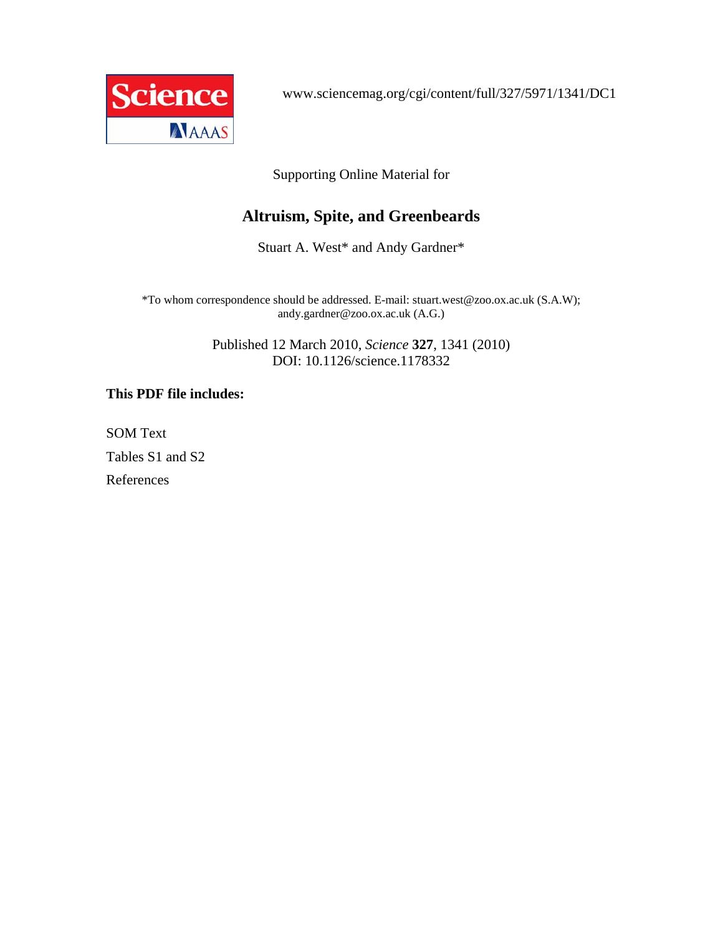

www.sciencemag.org/cgi/content/full/327/5971/1341/DC1

Supporting Online Material for

# **Altruism, Spite, and Greenbeards**

Stuart A. West\* and Andy Gardner\*

\*To whom correspondence should be addressed. E-mail: stuart.west@zoo.ox.ac.uk (S.A.W); andy.gardner@zoo.ox.ac.uk (A.G.)

> Published 12 March 2010, *Science* **327**, 1341 (2010) DOI: 10.1126/science.1178332

# **This PDF file includes:**

SOM Text Tables S1 and S2 References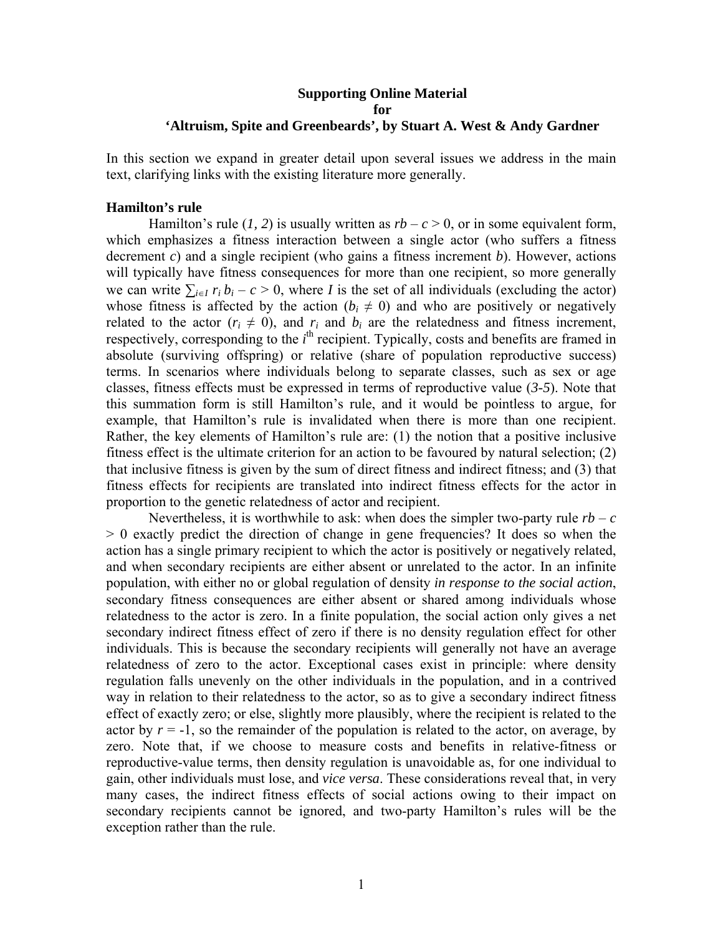## **Supporting Online Material for 'Altruism, Spite and Greenbeards', by Stuart A. West & Andy Gardner**

In this section we expand in greater detail upon several issues we address in the main text, clarifying links with the existing literature more generally.

### **Hamilton's rule**

Hamilton's rule (1, 2) is usually written as  $rb - c > 0$ , or in some equivalent form, which emphasizes a fitness interaction between a single actor (who suffers a fitness decrement *c*) and a single recipient (who gains a fitness increment *b*). However, actions will typically have fitness consequences for more than one recipient, so more generally we can write  $\sum_{i\in I} r_i b_i - c > 0$ , where *I* is the set of all individuals (excluding the actor) whose fitness is affected by the action ( $b_i \neq 0$ ) and who are positively or negatively related to the actor  $(r_i \neq 0)$ , and  $r_i$  and  $b_i$  are the relatedness and fitness increment, respectively, corresponding to the *i*<sup>th</sup> recipient. Typically, costs and benefits are framed in absolute (surviving offspring) or relative (share of population reproductive success) terms. In scenarios where individuals belong to separate classes, such as sex or age classes, fitness effects must be expressed in terms of reproductive value (*3-5*). Note that this summation form is still Hamilton's rule, and it would be pointless to argue, for example, that Hamilton's rule is invalidated when there is more than one recipient. Rather, the key elements of Hamilton's rule are: (1) the notion that a positive inclusive fitness effect is the ultimate criterion for an action to be favoured by natural selection; (2) that inclusive fitness is given by the sum of direct fitness and indirect fitness; and (3) that fitness effects for recipients are translated into indirect fitness effects for the actor in proportion to the genetic relatedness of actor and recipient.

Nevertheless, it is worthwhile to ask: when does the simpler two-party rule  $rb - c$ > 0 exactly predict the direction of change in gene frequencies? It does so when the action has a single primary recipient to which the actor is positively or negatively related, and when secondary recipients are either absent or unrelated to the actor. In an infinite population, with either no or global regulation of density *in response to the social action*, secondary fitness consequences are either absent or shared among individuals whose relatedness to the actor is zero. In a finite population, the social action only gives a net secondary indirect fitness effect of zero if there is no density regulation effect for other individuals. This is because the secondary recipients will generally not have an average relatedness of zero to the actor. Exceptional cases exist in principle: where density regulation falls unevenly on the other individuals in the population, and in a contrived way in relation to their relatedness to the actor, so as to give a secondary indirect fitness effect of exactly zero; or else, slightly more plausibly, where the recipient is related to the actor by  $r = -1$ , so the remainder of the population is related to the actor, on average, by zero. Note that, if we choose to measure costs and benefits in relative-fitness or reproductive-value terms, then density regulation is unavoidable as, for one individual to gain, other individuals must lose, and *vice versa*. These considerations reveal that, in very many cases, the indirect fitness effects of social actions owing to their impact on secondary recipients cannot be ignored, and two-party Hamilton's rules will be the exception rather than the rule.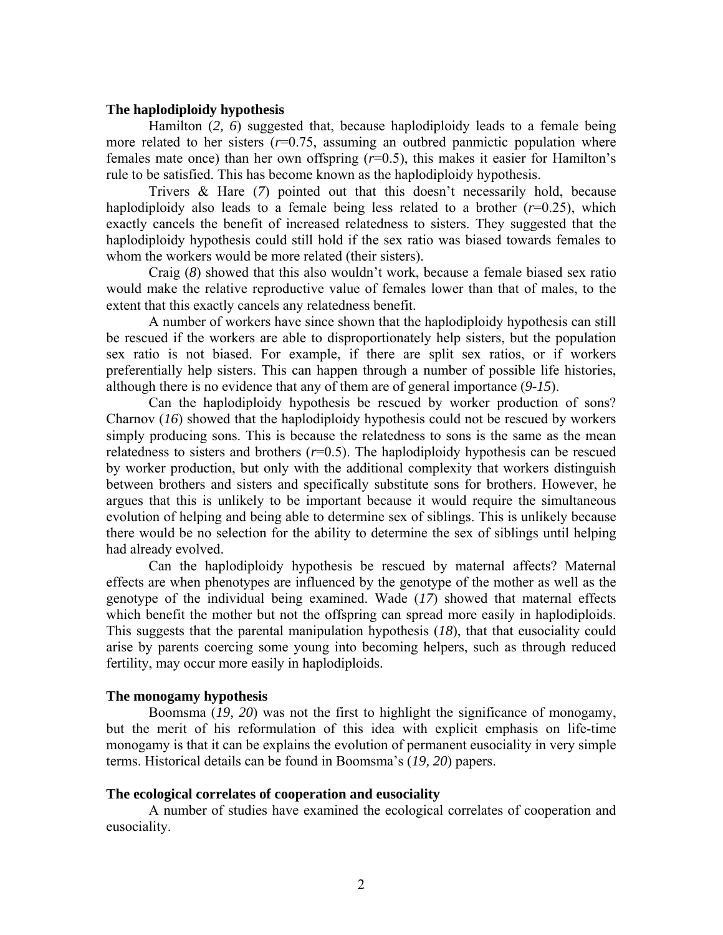## **The haplodiploidy hypothesis**

Hamilton (*2, 6*) suggested that, because haplodiploidy leads to a female being more related to her sisters (*r*=0.75, assuming an outbred panmictic population where females mate once) than her own offspring (*r*=0.5), this makes it easier for Hamilton's rule to be satisfied. This has become known as the haplodiploidy hypothesis.

Trivers & Hare (*7*) pointed out that this doesn't necessarily hold, because haplodiploidy also leads to a female being less related to a brother  $(r=0.25)$ , which exactly cancels the benefit of increased relatedness to sisters. They suggested that the haplodiploidy hypothesis could still hold if the sex ratio was biased towards females to whom the workers would be more related (their sisters).

Craig (*8*) showed that this also wouldn't work, because a female biased sex ratio would make the relative reproductive value of females lower than that of males, to the extent that this exactly cancels any relatedness benefit.

A number of workers have since shown that the haplodiploidy hypothesis can still be rescued if the workers are able to disproportionately help sisters, but the population sex ratio is not biased. For example, if there are split sex ratios, or if workers preferentially help sisters. This can happen through a number of possible life histories, although there is no evidence that any of them are of general importance (*9-15*).

Can the haplodiploidy hypothesis be rescued by worker production of sons? Charnov (*16*) showed that the haplodiploidy hypothesis could not be rescued by workers simply producing sons. This is because the relatedness to sons is the same as the mean relatedness to sisters and brothers  $(r=0.5)$ . The haplodiploidy hypothesis can be rescued by worker production, but only with the additional complexity that workers distinguish between brothers and sisters and specifically substitute sons for brothers. However, he argues that this is unlikely to be important because it would require the simultaneous evolution of helping and being able to determine sex of siblings. This is unlikely because there would be no selection for the ability to determine the sex of siblings until helping had already evolved.

Can the haplodiploidy hypothesis be rescued by maternal affects? Maternal effects are when phenotypes are influenced by the genotype of the mother as well as the genotype of the individual being examined. Wade (*17*) showed that maternal effects which benefit the mother but not the offspring can spread more easily in haplodiploids. This suggests that the parental manipulation hypothesis (*18*), that that eusociality could arise by parents coercing some young into becoming helpers, such as through reduced fertility, may occur more easily in haplodiploids.

## **The monogamy hypothesis**

Boomsma (*19, 20*) was not the first to highlight the significance of monogamy, but the merit of his reformulation of this idea with explicit emphasis on life-time monogamy is that it can be explains the evolution of permanent eusociality in very simple terms. Historical details can be found in Boomsma's (*19, 20*) papers.

### **The ecological correlates of cooperation and eusociality**

 A number of studies have examined the ecological correlates of cooperation and eusociality.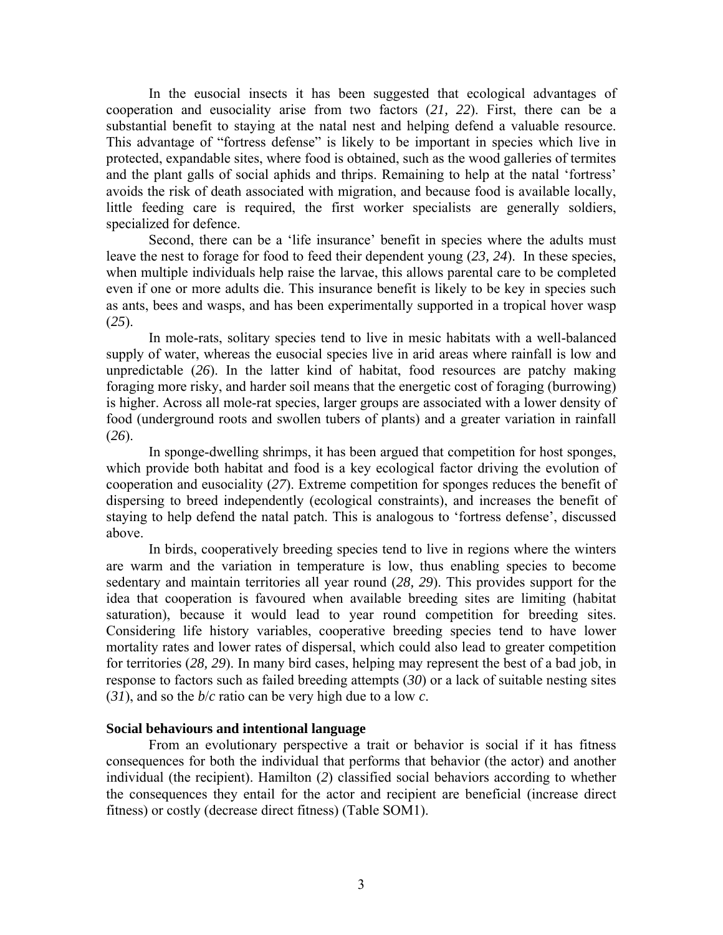In the eusocial insects it has been suggested that ecological advantages of cooperation and eusociality arise from two factors (*21, 22*). First, there can be a substantial benefit to staying at the natal nest and helping defend a valuable resource. This advantage of "fortress defense" is likely to be important in species which live in protected, expandable sites, where food is obtained, such as the wood galleries of termites and the plant galls of social aphids and thrips. Remaining to help at the natal 'fortress' avoids the risk of death associated with migration, and because food is available locally, little feeding care is required, the first worker specialists are generally soldiers, specialized for defence.

Second, there can be a 'life insurance' benefit in species where the adults must leave the nest to forage for food to feed their dependent young (*23, 24*). In these species, when multiple individuals help raise the larvae, this allows parental care to be completed even if one or more adults die. This insurance benefit is likely to be key in species such as ants, bees and wasps, and has been experimentally supported in a tropical hover wasp (*25*).

In mole-rats, solitary species tend to live in mesic habitats with a well-balanced supply of water, whereas the eusocial species live in arid areas where rainfall is low and unpredictable (*26*). In the latter kind of habitat, food resources are patchy making foraging more risky, and harder soil means that the energetic cost of foraging (burrowing) is higher. Across all mole-rat species, larger groups are associated with a lower density of food (underground roots and swollen tubers of plants) and a greater variation in rainfall (*26*).

In sponge-dwelling shrimps, it has been argued that competition for host sponges, which provide both habitat and food is a key ecological factor driving the evolution of cooperation and eusociality (*27*). Extreme competition for sponges reduces the benefit of dispersing to breed independently (ecological constraints), and increases the benefit of staying to help defend the natal patch. This is analogous to 'fortress defense', discussed above.

In birds, cooperatively breeding species tend to live in regions where the winters are warm and the variation in temperature is low, thus enabling species to become sedentary and maintain territories all year round (*28, 29*). This provides support for the idea that cooperation is favoured when available breeding sites are limiting (habitat saturation), because it would lead to year round competition for breeding sites. Considering life history variables, cooperative breeding species tend to have lower mortality rates and lower rates of dispersal, which could also lead to greater competition for territories (*28, 29*). In many bird cases, helping may represent the best of a bad job, in response to factors such as failed breeding attempts (*30*) or a lack of suitable nesting sites (*31*), and so the *b*/*c* ratio can be very high due to a low *c*.

## **Social behaviours and intentional language**

From an evolutionary perspective a trait or behavior is social if it has fitness consequences for both the individual that performs that behavior (the actor) and another individual (the recipient). Hamilton (*2*) classified social behaviors according to whether the consequences they entail for the actor and recipient are beneficial (increase direct fitness) or costly (decrease direct fitness) (Table SOM1).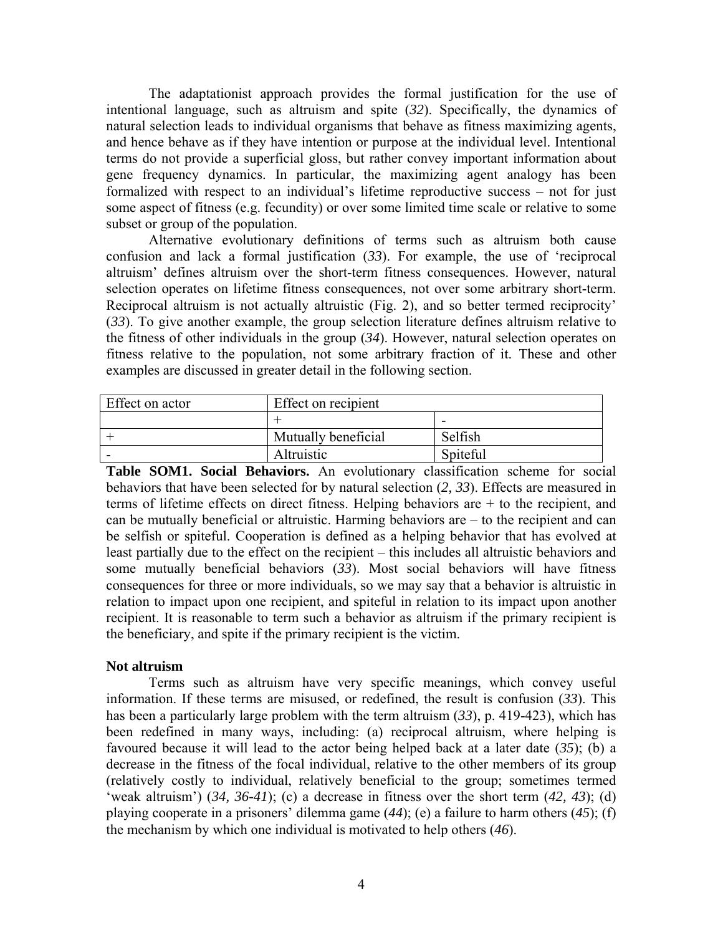The adaptationist approach provides the formal justification for the use of intentional language, such as altruism and spite (*32*). Specifically, the dynamics of natural selection leads to individual organisms that behave as fitness maximizing agents, and hence behave as if they have intention or purpose at the individual level. Intentional terms do not provide a superficial gloss, but rather convey important information about gene frequency dynamics. In particular, the maximizing agent analogy has been formalized with respect to an individual's lifetime reproductive success – not for just some aspect of fitness (e.g. fecundity) or over some limited time scale or relative to some subset or group of the population.

Alternative evolutionary definitions of terms such as altruism both cause confusion and lack a formal justification (*33*). For example, the use of 'reciprocal altruism' defines altruism over the short-term fitness consequences. However, natural selection operates on lifetime fitness consequences, not over some arbitrary short-term. Reciprocal altruism is not actually altruistic (Fig. 2), and so better termed reciprocity' (*33*). To give another example, the group selection literature defines altruism relative to the fitness of other individuals in the group (*34*). However, natural selection operates on fitness relative to the population, not some arbitrary fraction of it. These and other examples are discussed in greater detail in the following section.

| Effect on actor | Effect on recipient |          |  |
|-----------------|---------------------|----------|--|
|                 |                     |          |  |
|                 | Mutually beneficial | Selfish  |  |
|                 | Altruistic          | Spiteful |  |

**Table SOM1. Social Behaviors.** An evolutionary classification scheme for social behaviors that have been selected for by natural selection (*2, 33*). Effects are measured in terms of lifetime effects on direct fitness. Helping behaviors are + to the recipient, and can be mutually beneficial or altruistic. Harming behaviors are – to the recipient and can be selfish or spiteful. Cooperation is defined as a helping behavior that has evolved at least partially due to the effect on the recipient – this includes all altruistic behaviors and some mutually beneficial behaviors (*33*). Most social behaviors will have fitness consequences for three or more individuals, so we may say that a behavior is altruistic in relation to impact upon one recipient, and spiteful in relation to its impact upon another recipient. It is reasonable to term such a behavior as altruism if the primary recipient is the beneficiary, and spite if the primary recipient is the victim.

## **Not altruism**

Terms such as altruism have very specific meanings, which convey useful information. If these terms are misused, or redefined, the result is confusion (*33*). This has been a particularly large problem with the term altruism (*33*), p. 419-423), which has been redefined in many ways, including: (a) reciprocal altruism, where helping is favoured because it will lead to the actor being helped back at a later date (*35*); (b) a decrease in the fitness of the focal individual, relative to the other members of its group (relatively costly to individual, relatively beneficial to the group; sometimes termed 'weak altruism') (*34, 36-41*); (c) a decrease in fitness over the short term (*42, 43*); (d) playing cooperate in a prisoners' dilemma game (*44*); (e) a failure to harm others (*45*); (f) the mechanism by which one individual is motivated to help others (*46*).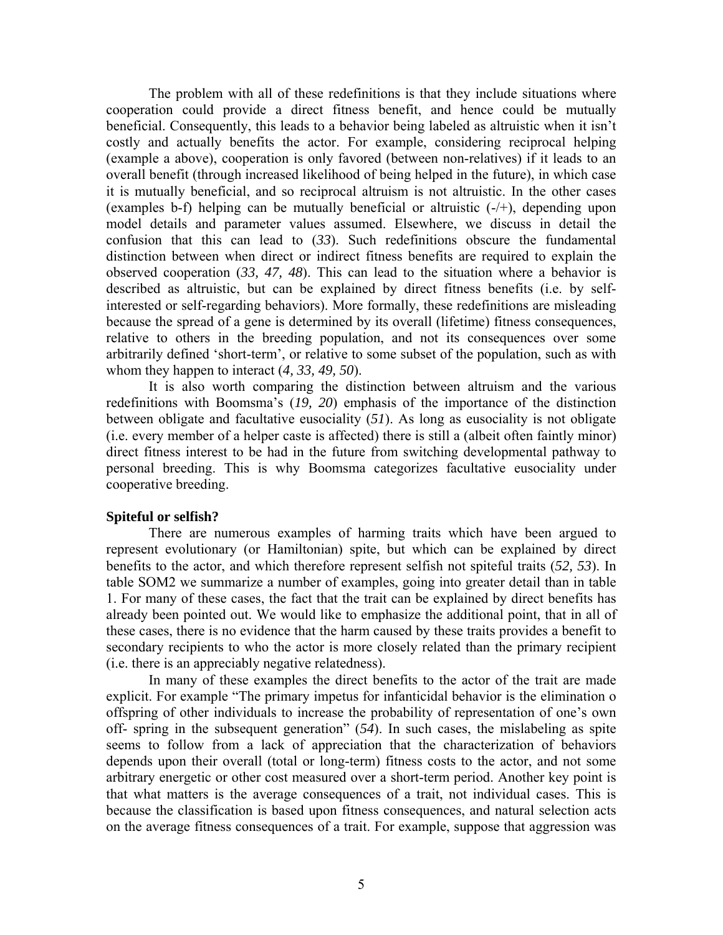The problem with all of these redefinitions is that they include situations where cooperation could provide a direct fitness benefit, and hence could be mutually beneficial. Consequently, this leads to a behavior being labeled as altruistic when it isn't costly and actually benefits the actor. For example, considering reciprocal helping (example a above), cooperation is only favored (between non-relatives) if it leads to an overall benefit (through increased likelihood of being helped in the future), in which case it is mutually beneficial, and so reciprocal altruism is not altruistic. In the other cases (examples b-f) helping can be mutually beneficial or altruistic (-/+), depending upon model details and parameter values assumed. Elsewhere, we discuss in detail the confusion that this can lead to (*33*). Such redefinitions obscure the fundamental distinction between when direct or indirect fitness benefits are required to explain the observed cooperation (*33, 47, 48*). This can lead to the situation where a behavior is described as altruistic, but can be explained by direct fitness benefits (i.e. by selfinterested or self-regarding behaviors). More formally, these redefinitions are misleading because the spread of a gene is determined by its overall (lifetime) fitness consequences, relative to others in the breeding population, and not its consequences over some arbitrarily defined 'short-term', or relative to some subset of the population, such as with whom they happen to interact (*4, 33, 49, 50*).

It is also worth comparing the distinction between altruism and the various redefinitions with Boomsma's (*19, 20*) emphasis of the importance of the distinction between obligate and facultative eusociality (*51*). As long as eusociality is not obligate (i.e. every member of a helper caste is affected) there is still a (albeit often faintly minor) direct fitness interest to be had in the future from switching developmental pathway to personal breeding. This is why Boomsma categorizes facultative eusociality under cooperative breeding.

## **Spiteful or selfish?**

There are numerous examples of harming traits which have been argued to represent evolutionary (or Hamiltonian) spite, but which can be explained by direct benefits to the actor, and which therefore represent selfish not spiteful traits (*52, 53*). In table SOM2 we summarize a number of examples, going into greater detail than in table 1. For many of these cases, the fact that the trait can be explained by direct benefits has already been pointed out. We would like to emphasize the additional point, that in all of these cases, there is no evidence that the harm caused by these traits provides a benefit to secondary recipients to who the actor is more closely related than the primary recipient (i.e. there is an appreciably negative relatedness).

In many of these examples the direct benefits to the actor of the trait are made explicit. For example "The primary impetus for infanticidal behavior is the elimination o offspring of other individuals to increase the probability of representation of one's own off- spring in the subsequent generation" (*54*). In such cases, the mislabeling as spite seems to follow from a lack of appreciation that the characterization of behaviors depends upon their overall (total or long-term) fitness costs to the actor, and not some arbitrary energetic or other cost measured over a short-term period. Another key point is that what matters is the average consequences of a trait, not individual cases. This is because the classification is based upon fitness consequences, and natural selection acts on the average fitness consequences of a trait. For example, suppose that aggression was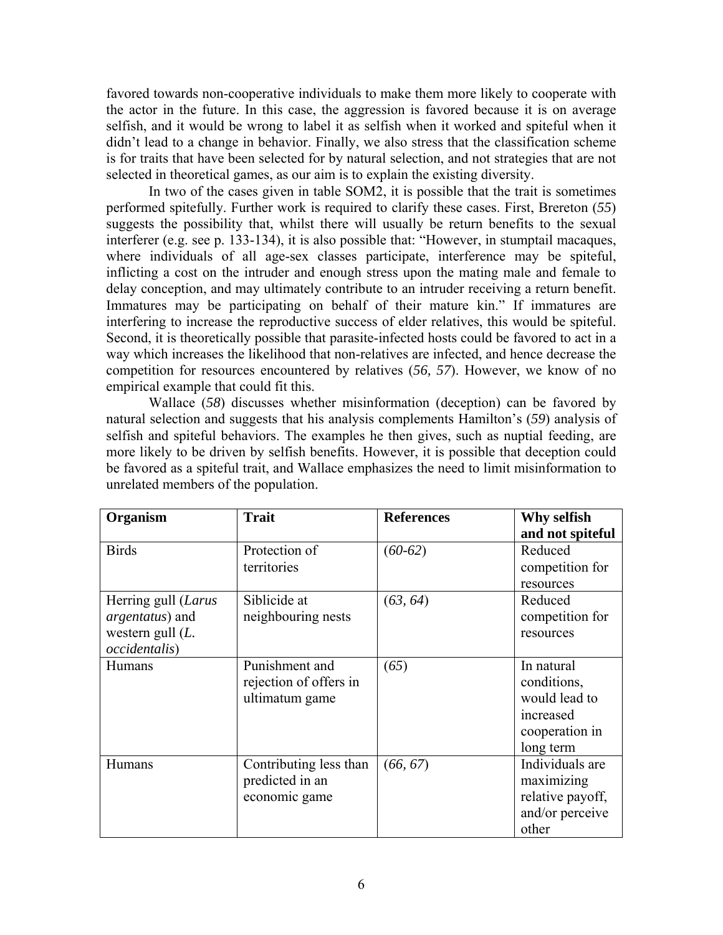favored towards non-cooperative individuals to make them more likely to cooperate with the actor in the future. In this case, the aggression is favored because it is on average selfish, and it would be wrong to label it as selfish when it worked and spiteful when it didn't lead to a change in behavior. Finally, we also stress that the classification scheme is for traits that have been selected for by natural selection, and not strategies that are not selected in theoretical games, as our aim is to explain the existing diversity.

In two of the cases given in table SOM2, it is possible that the trait is sometimes performed spitefully. Further work is required to clarify these cases. First, Brereton (*55*) suggests the possibility that, whilst there will usually be return benefits to the sexual interferer (e.g. see p. 133-134), it is also possible that: "However, in stumptail macaques, where individuals of all age-sex classes participate, interference may be spiteful, inflicting a cost on the intruder and enough stress upon the mating male and female to delay conception, and may ultimately contribute to an intruder receiving a return benefit. Immatures may be participating on behalf of their mature kin." If immatures are interfering to increase the reproductive success of elder relatives, this would be spiteful. Second, it is theoretically possible that parasite-infected hosts could be favored to act in a way which increases the likelihood that non-relatives are infected, and hence decrease the competition for resources encountered by relatives (*56, 57*). However, we know of no empirical example that could fit this.

Wallace (*58*) discusses whether misinformation (deception) can be favored by natural selection and suggests that his analysis complements Hamilton's (*59*) analysis of selfish and spiteful behaviors. The examples he then gives, such as nuptial feeding, are more likely to be driven by selfish benefits. However, it is possible that deception could be favored as a spiteful trait, and Wallace emphasizes the need to limit misinformation to unrelated members of the population.

| Organism              | <b>Trait</b>           | <b>References</b> | Why selfish      |
|-----------------------|------------------------|-------------------|------------------|
|                       |                        |                   | and not spiteful |
| <b>Birds</b>          | Protection of          | $(60-62)$         | Reduced          |
|                       | territories            |                   | competition for  |
|                       |                        |                   | resources        |
| Herring gull (Larus   | Siblicide at           | (63, 64)          | Reduced          |
| argentatus) and       | neighbouring nests     |                   | competition for  |
| western gull $(L$ .   |                        |                   | resources        |
| <i>occidentalis</i> ) |                        |                   |                  |
| <b>Humans</b>         | Punishment and         | (65)              | In natural       |
|                       | rejection of offers in |                   | conditions,      |
|                       | ultimatum game         |                   | would lead to    |
|                       |                        |                   | increased        |
|                       |                        |                   | cooperation in   |
|                       |                        |                   | long term        |
| Humans                | Contributing less than | (66, 67)          | Individuals are  |
|                       | predicted in an        |                   | maximizing       |
|                       | economic game          |                   | relative payoff, |
|                       |                        |                   | and/or perceive  |
|                       |                        |                   | other            |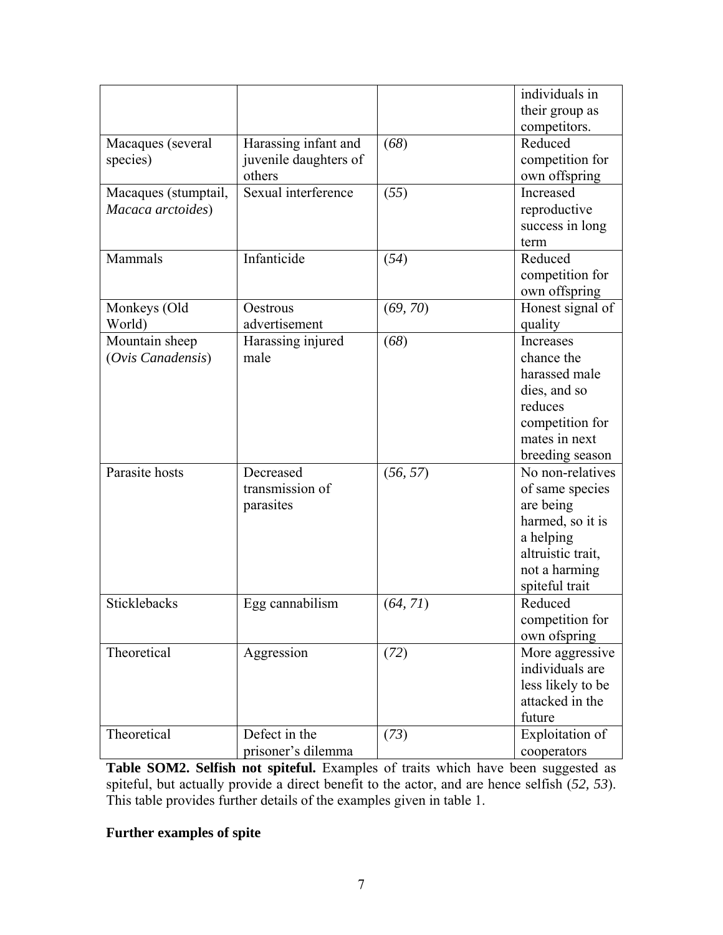|                      |                       |          | individuals in         |
|----------------------|-----------------------|----------|------------------------|
|                      |                       |          | their group as         |
|                      |                       |          | competitors.           |
| Macaques (several    | Harassing infant and  | (68)     | Reduced                |
| species)             | juvenile daughters of |          | competition for        |
|                      | others                |          | own offspring          |
| Macaques (stumptail, | Sexual interference   | (55)     | Increased              |
| Macaca arctoides)    |                       |          | reproductive           |
|                      |                       |          | success in long        |
|                      |                       |          | term                   |
| Mammals              | Infanticide           | (54)     | Reduced                |
|                      |                       |          | competition for        |
|                      |                       |          | own offspring          |
| Monkeys (Old         | Oestrous              | (69, 70) | Honest signal of       |
| World)               | advertisement         |          | quality                |
| Mountain sheep       | Harassing injured     | (68)     | Increases              |
| (Ovis Canadensis)    | male                  |          | chance the             |
|                      |                       |          | harassed male          |
|                      |                       |          | dies, and so           |
|                      |                       |          | reduces                |
|                      |                       |          | competition for        |
|                      |                       |          | mates in next          |
|                      |                       |          | breeding season        |
| Parasite hosts       | Decreased             | (56, 57) | No non-relatives       |
|                      | transmission of       |          | of same species        |
|                      | parasites             |          | are being              |
|                      |                       |          | harmed, so it is       |
|                      |                       |          | a helping              |
|                      |                       |          | altruistic trait,      |
|                      |                       |          | not a harming          |
|                      |                       |          | spiteful trait         |
| Sticklebacks         | Egg cannabilism       | (64, 71) | Reduced                |
|                      |                       |          | competition for        |
|                      |                       |          | own ofspring           |
| Theoretical          | Aggression            | (72)     | More aggressive        |
|                      |                       |          | individuals are        |
|                      |                       |          | less likely to be      |
|                      |                       |          | attacked in the        |
|                      |                       |          | future                 |
| Theoretical          | Defect in the         | (73)     | <b>Exploitation of</b> |
|                      | prisoner's dilemma    |          | cooperators            |

**Table SOM2. Selfish not spiteful.** Examples of traits which have been suggested as spiteful, but actually provide a direct benefit to the actor, and are hence selfish (*52, 53*). This table provides further details of the examples given in table 1.

# **Further examples of spite**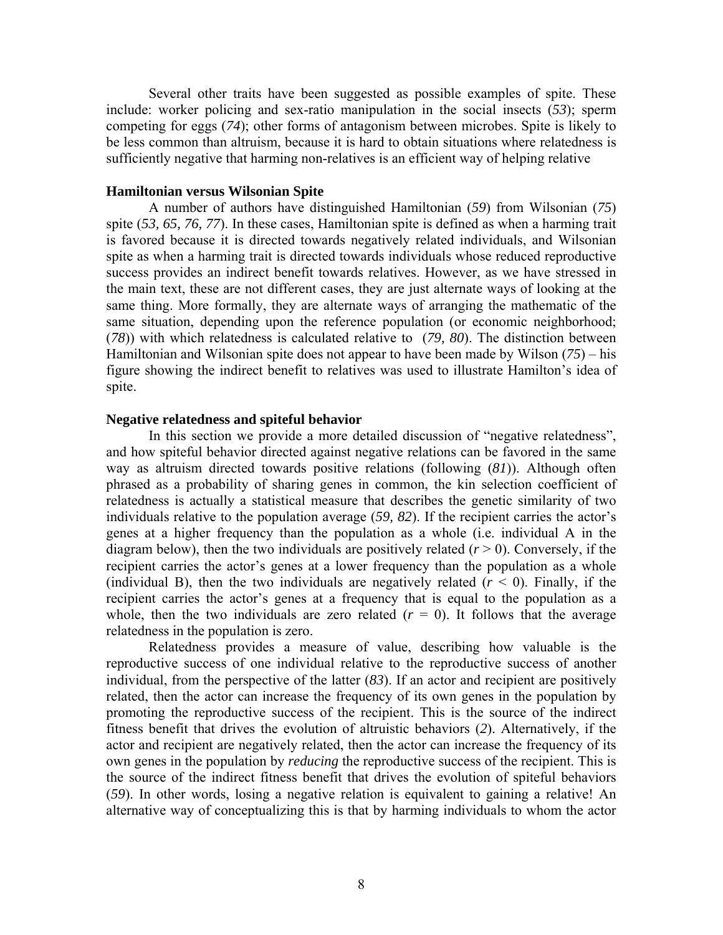Several other traits have been suggested as possible examples of spite. These include: worker policing and sex-ratio manipulation in the social insects (*53*); sperm competing for eggs (*74*); other forms of antagonism between microbes. Spite is likely to be less common than altruism, because it is hard to obtain situations where relatedness is sufficiently negative that harming non-relatives is an efficient way of helping relative

## **Hamiltonian versus Wilsonian Spite**

A number of authors have distinguished Hamiltonian (*59*) from Wilsonian (*75*) spite (*53, 65, 76, 77*). In these cases, Hamiltonian spite is defined as when a harming trait is favored because it is directed towards negatively related individuals, and Wilsonian spite as when a harming trait is directed towards individuals whose reduced reproductive success provides an indirect benefit towards relatives. However, as we have stressed in the main text, these are not different cases, they are just alternate ways of looking at the same thing. More formally, they are alternate ways of arranging the mathematic of the same situation, depending upon the reference population (or economic neighborhood; (*78*)) with which relatedness is calculated relative to (*79, 80*). The distinction between Hamiltonian and Wilsonian spite does not appear to have been made by Wilson (*75*) – his figure showing the indirect benefit to relatives was used to illustrate Hamilton's idea of spite.

#### **Negative relatedness and spiteful behavior**

In this section we provide a more detailed discussion of "negative relatedness", and how spiteful behavior directed against negative relations can be favored in the same way as altruism directed towards positive relations (following (*81*)). Although often phrased as a probability of sharing genes in common, the kin selection coefficient of relatedness is actually a statistical measure that describes the genetic similarity of two individuals relative to the population average (*59, 82*). If the recipient carries the actor's genes at a higher frequency than the population as a whole (i.e. individual A in the diagram below), then the two individuals are positively related  $(r > 0)$ . Conversely, if the recipient carries the actor's genes at a lower frequency than the population as a whole (individual B), then the two individuals are negatively related  $(r < 0)$ . Finally, if the recipient carries the actor's genes at a frequency that is equal to the population as a whole, then the two individuals are zero related  $(r = 0)$ . It follows that the average relatedness in the population is zero.

Relatedness provides a measure of value, describing how valuable is the reproductive success of one individual relative to the reproductive success of another individual, from the perspective of the latter (*83*). If an actor and recipient are positively related, then the actor can increase the frequency of its own genes in the population by promoting the reproductive success of the recipient. This is the source of the indirect fitness benefit that drives the evolution of altruistic behaviors (*2*). Alternatively, if the actor and recipient are negatively related, then the actor can increase the frequency of its own genes in the population by *reducing* the reproductive success of the recipient. This is the source of the indirect fitness benefit that drives the evolution of spiteful behaviors (*59*). In other words, losing a negative relation is equivalent to gaining a relative! An alternative way of conceptualizing this is that by harming individuals to whom the actor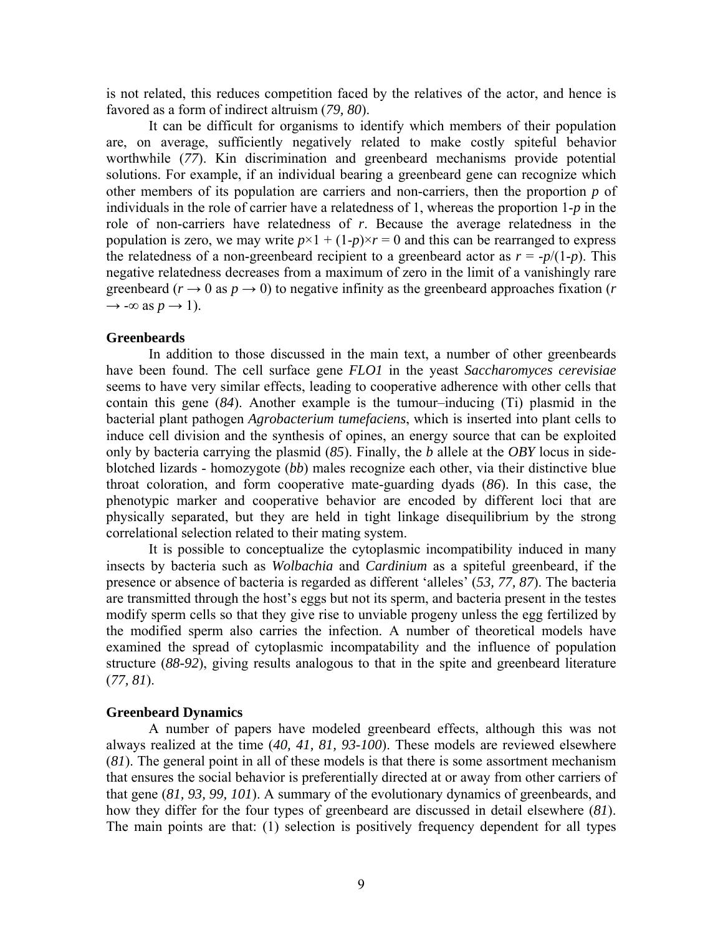is not related, this reduces competition faced by the relatives of the actor, and hence is favored as a form of indirect altruism (*79, 80*).

It can be difficult for organisms to identify which members of their population are, on average, sufficiently negatively related to make costly spiteful behavior worthwhile (*77*). Kin discrimination and greenbeard mechanisms provide potential solutions. For example, if an individual bearing a greenbeard gene can recognize which other members of its population are carriers and non-carriers, then the proportion *p* of individuals in the role of carrier have a relatedness of 1, whereas the proportion 1-*p* in the role of non-carriers have relatedness of *r*. Because the average relatedness in the population is zero, we may write  $p \times 1 + (1-p) \times r = 0$  and this can be rearranged to express the relatedness of a non-greenbeard recipient to a greenbeard actor as  $r = -p/(1-p)$ . This negative relatedness decreases from a maximum of zero in the limit of a vanishingly rare greenbeard ( $r \rightarrow 0$  as  $p \rightarrow 0$ ) to negative infinity as the greenbeard approaches fixation ( $r \rightarrow 0$ )  $\rightarrow$  - $\infty$  as  $p \rightarrow 1$ ).

## **Greenbeards**

In addition to those discussed in the main text, a number of other greenbeards have been found. The cell surface gene *FLO1* in the yeast *Saccharomyces cerevisiae*  seems to have very similar effects, leading to cooperative adherence with other cells that contain this gene (*84*). Another example is the tumour–inducing (Ti) plasmid in the bacterial plant pathogen *Agrobacterium tumefaciens*, which is inserted into plant cells to induce cell division and the synthesis of opines, an energy source that can be exploited only by bacteria carrying the plasmid (*85*). Finally, the *b* allele at the *OBY* locus in sideblotched lizards - homozygote (*bb*) males recognize each other, via their distinctive blue throat coloration, and form cooperative mate-guarding dyads (*86*). In this case, the phenotypic marker and cooperative behavior are encoded by different loci that are physically separated, but they are held in tight linkage disequilibrium by the strong correlational selection related to their mating system.

It is possible to conceptualize the cytoplasmic incompatibility induced in many insects by bacteria such as *Wolbachia* and *Cardinium* as a spiteful greenbeard, if the presence or absence of bacteria is regarded as different 'alleles' (*53, 77, 87*). The bacteria are transmitted through the host's eggs but not its sperm, and bacteria present in the testes modify sperm cells so that they give rise to unviable progeny unless the egg fertilized by the modified sperm also carries the infection. A number of theoretical models have examined the spread of cytoplasmic incompatability and the influence of population structure (*88-92*), giving results analogous to that in the spite and greenbeard literature (*77, 81*).

#### **Greenbeard Dynamics**

A number of papers have modeled greenbeard effects, although this was not always realized at the time (*40, 41, 81, 93-100*). These models are reviewed elsewhere (*81*). The general point in all of these models is that there is some assortment mechanism that ensures the social behavior is preferentially directed at or away from other carriers of that gene (*81, 93, 99, 101*). A summary of the evolutionary dynamics of greenbeards, and how they differ for the four types of greenbeard are discussed in detail elsewhere (*81*). The main points are that: (1) selection is positively frequency dependent for all types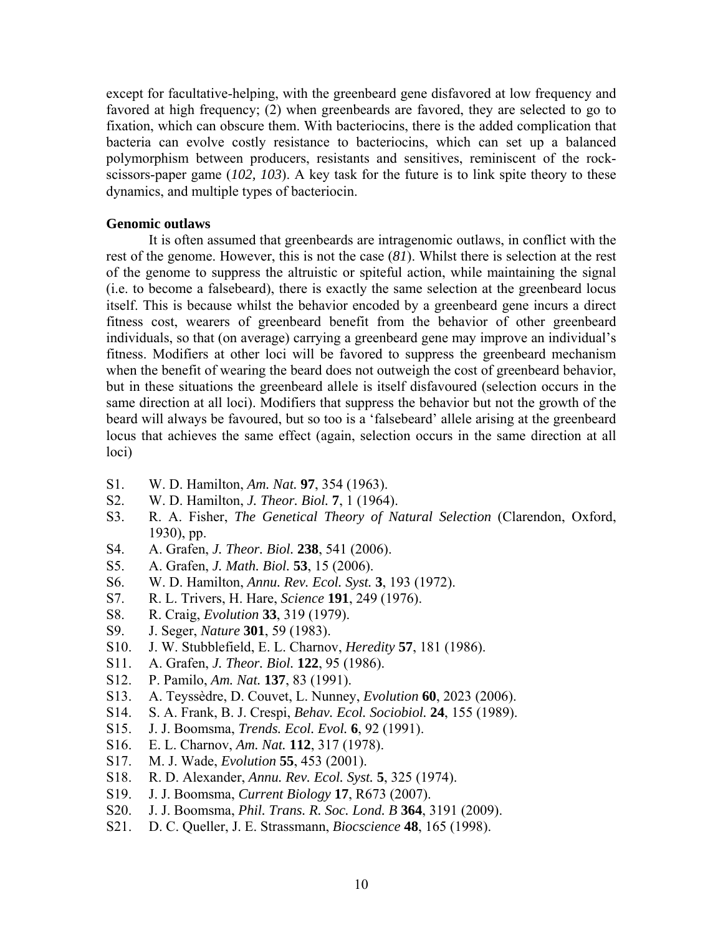except for facultative-helping, with the greenbeard gene disfavored at low frequency and favored at high frequency; (2) when greenbeards are favored, they are selected to go to fixation, which can obscure them. With bacteriocins, there is the added complication that bacteria can evolve costly resistance to bacteriocins, which can set up a balanced polymorphism between producers, resistants and sensitives, reminiscent of the rockscissors-paper game (*102, 103*). A key task for the future is to link spite theory to these dynamics, and multiple types of bacteriocin.

## **Genomic outlaws**

 It is often assumed that greenbeards are intragenomic outlaws, in conflict with the rest of the genome. However, this is not the case (*81*). Whilst there is selection at the rest of the genome to suppress the altruistic or spiteful action, while maintaining the signal (i.e. to become a falsebeard), there is exactly the same selection at the greenbeard locus itself. This is because whilst the behavior encoded by a greenbeard gene incurs a direct fitness cost, wearers of greenbeard benefit from the behavior of other greenbeard individuals, so that (on average) carrying a greenbeard gene may improve an individual's fitness. Modifiers at other loci will be favored to suppress the greenbeard mechanism when the benefit of wearing the beard does not outweigh the cost of greenbeard behavior, but in these situations the greenbeard allele is itself disfavoured (selection occurs in the same direction at all loci). Modifiers that suppress the behavior but not the growth of the beard will always be favoured, but so too is a 'falsebeard' allele arising at the greenbeard locus that achieves the same effect (again, selection occurs in the same direction at all loci)

- S1. W. D. Hamilton, *Am. Nat.* **97**, 354 (1963).
- S2. W. D. Hamilton, *J. Theor. Biol.* **7**, 1 (1964).
- S3. R. A. Fisher, *The Genetical Theory of Natural Selection* (Clarendon, Oxford, 1930), pp.
- S4. A. Grafen, *J. Theor. Biol.* **238**, 541 (2006).
- S5. A. Grafen, *J. Math. Biol.* **53**, 15 (2006).
- S6. W. D. Hamilton, *Annu. Rev. Ecol. Syst.* **3**, 193 (1972).
- S7. R. L. Trivers, H. Hare, *Science* **191**, 249 (1976).
- S8. R. Craig, *Evolution* **33**, 319 (1979).
- S9. J. Seger, *Nature* **301**, 59 (1983).
- S10. J. W. Stubblefield, E. L. Charnov, *Heredity* **57**, 181 (1986).
- S11. A. Grafen, *J. Theor. Biol.* **122**, 95 (1986).
- S12. P. Pamilo, *Am. Nat.* **137**, 83 (1991).
- S13. A. Teyssèdre, D. Couvet, L. Nunney, *Evolution* **60**, 2023 (2006).
- S14. S. A. Frank, B. J. Crespi, *Behav. Ecol. Sociobiol.* **24**, 155 (1989).
- S15. J. J. Boomsma, *Trends. Ecol. Evol.* **6**, 92 (1991).
- S16. E. L. Charnov, *Am. Nat.* **112**, 317 (1978).
- S17. M. J. Wade, *Evolution* **55**, 453 (2001).
- S18. R. D. Alexander, *Annu. Rev. Ecol. Syst.* **5**, 325 (1974).
- S19. J. J. Boomsma, *Current Biology* **17**, R673 (2007).
- S20. J. J. Boomsma, *Phil. Trans. R. Soc. Lond. B* **364**, 3191 (2009).
- S21. D. C. Queller, J. E. Strassmann, *Biocscience* **48**, 165 (1998).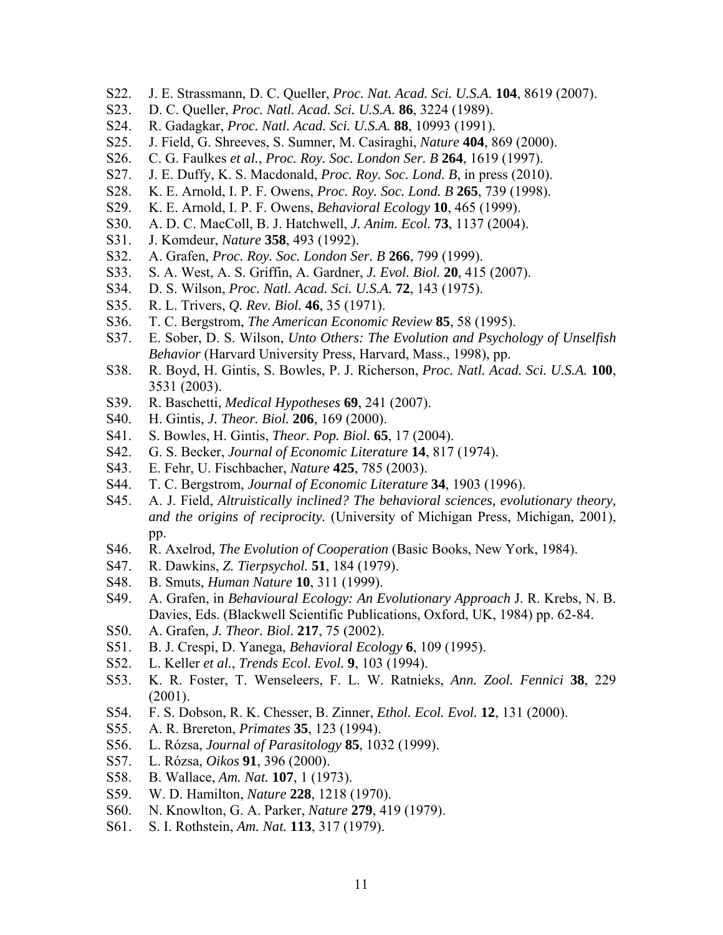- S22. J. E. Strassmann, D. C. Queller, *Proc. Nat. Acad. Sci. U.S.A.* **104**, 8619 (2007).
- S23. D. C. Queller, *Proc. Natl. Acad. Sci. U.S.A.* **86**, 3224 (1989).
- S24. R. Gadagkar, *Proc. Natl. Acad. Sci. U.S.A.* **88**, 10993 (1991).
- S25. J. Field, G. Shreeves, S. Sumner, M. Casiraghi, *Nature* **404**, 869 (2000).
- S26. C. G. Faulkes *et al.*, *Proc. Roy. Soc. London Ser. B* **264**, 1619 (1997).
- S27. J. E. Duffy, K. S. Macdonald, *Proc. Roy. Soc. Lond. B*, in press (2010).
- S28. K. E. Arnold, I. P. F. Owens, *Proc. Roy. Soc. Lond. B* **265**, 739 (1998).
- S29. K. E. Arnold, I. P. F. Owens, *Behavioral Ecology* **10**, 465 (1999).
- S30. A. D. C. MacColl, B. J. Hatchwell, *J. Anim. Ecol.* **73**, 1137 (2004).
- S31. J. Komdeur, *Nature* **358**, 493 (1992).
- S32. A. Grafen, *Proc. Roy. Soc. London Ser. B* **266**, 799 (1999).
- S33. S. A. West, A. S. Griffin, A. Gardner, *J. Evol. Biol.* **20**, 415 (2007).
- S34. D. S. Wilson, *Proc. Natl. Acad. Sci. U.S.A.* **72**, 143 (1975).
- S35. R. L. Trivers, *Q. Rev. Biol.* **46**, 35 (1971).
- S36. T. C. Bergstrom, *The American Economic Review* **85**, 58 (1995).
- S37. E. Sober, D. S. Wilson, *Unto Others: The Evolution and Psychology of Unselfish Behavior* (Harvard University Press, Harvard, Mass., 1998), pp.
- S38. R. Boyd, H. Gintis, S. Bowles, P. J. Richerson, *Proc. Natl. Acad. Sci. U.S.A.* **100**, 3531 (2003).
- S39. R. Baschetti, *Medical Hypotheses* **69**, 241 (2007).
- S40. H. Gintis, *J. Theor. Biol.* **206**, 169 (2000).
- S41. S. Bowles, H. Gintis, *Theor. Pop. Biol.* **65**, 17 (2004).
- S42. G. S. Becker, *Journal of Economic Literature* **14**, 817 (1974).
- S43. E. Fehr, U. Fischbacher, *Nature* **425**, 785 (2003).
- S44. T. C. Bergstrom, *Journal of Economic Literature* **34**, 1903 (1996).
- S45. A. J. Field, *Altruistically inclined? The behavioral sciences, evolutionary theory, and the origins of reciprocity.* (University of Michigan Press, Michigan, 2001), pp.
- S46. R. Axelrod, *The Evolution of Cooperation* (Basic Books, New York, 1984).
- S47. R. Dawkins, *Z. Tierpsychol.* **51**, 184 (1979).
- S48. B. Smuts, *Human Nature* **10**, 311 (1999).
- S49. A. Grafen, in *Behavioural Ecology: An Evolutionary Approach* J. R. Krebs, N. B. Davies, Eds. (Blackwell Scientific Publications, Oxford, UK, 1984) pp. 62-84.
- S50. A. Grafen, *J. Theor. Biol.* **217**, 75 (2002).
- S51. B. J. Crespi, D. Yanega, *Behavioral Ecology* **6**, 109 (1995).
- S52. L. Keller *et al.*, *Trends Ecol. Evol.* **9**, 103 (1994).
- S53. K. R. Foster, T. Wenseleers, F. L. W. Ratnieks, *Ann. Zool. Fennici* **38**, 229 (2001).
- S54. F. S. Dobson, R. K. Chesser, B. Zinner, *Ethol. Ecol. Evol.* **12**, 131 (2000).
- S55. A. R. Brereton, *Primates* **35**, 123 (1994).
- S56. L. Rózsa, *Journal of Parasitology* **85**, 1032 (1999).
- S57. L. Rózsa, *Oikos* **91**, 396 (2000).
- S58. B. Wallace, *Am. Nat.* **107**, 1 (1973).
- S59. W. D. Hamilton, *Nature* **228**, 1218 (1970).
- S60. N. Knowlton, G. A. Parker, *Nature* **279**, 419 (1979).
- S61. S. I. Rothstein, *Am. Nat.* **113**, 317 (1979).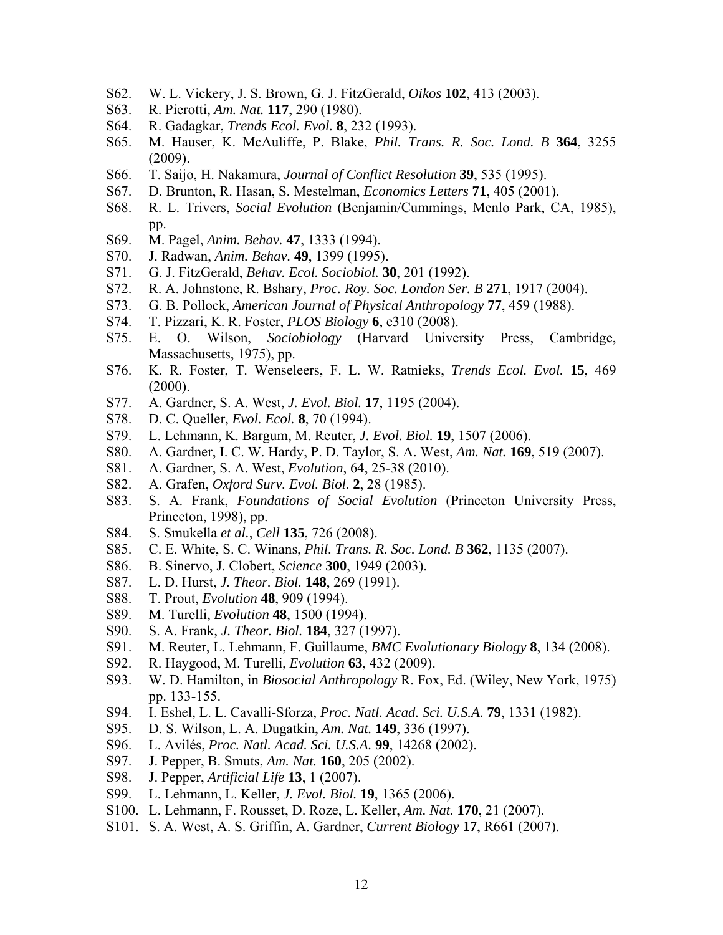- S62. W. L. Vickery, J. S. Brown, G. J. FitzGerald, *Oikos* **102**, 413 (2003).
- S63. R. Pierotti, *Am. Nat.* **117**, 290 (1980).
- S64. R. Gadagkar, *Trends Ecol. Evol.* **8**, 232 (1993).
- S65. M. Hauser, K. McAuliffe, P. Blake, *Phil. Trans. R. Soc. Lond. B* **364**, 3255 (2009).
- S66. T. Saijo, H. Nakamura, *Journal of Conflict Resolution* **39**, 535 (1995).
- S67. D. Brunton, R. Hasan, S. Mestelman, *Economics Letters* **71**, 405 (2001).
- S68. R. L. Trivers, *Social Evolution* (Benjamin/Cummings, Menlo Park, CA, 1985), pp.
- S69. M. Pagel, *Anim. Behav.* **47**, 1333 (1994).
- S70. J. Radwan, *Anim. Behav.* **49**, 1399 (1995).
- S71. G. J. FitzGerald, *Behav. Ecol. Sociobiol.* **30**, 201 (1992).
- S72. R. A. Johnstone, R. Bshary, *Proc. Roy. Soc. London Ser. B* **271**, 1917 (2004).
- S73. G. B. Pollock, *American Journal of Physical Anthropology* **77**, 459 (1988).
- S74. T. Pizzari, K. R. Foster, *PLOS Biology* **6**, e310 (2008).
- S75. E. O. Wilson, *Sociobiology* (Harvard University Press, Cambridge, Massachusetts, 1975), pp.
- S76. K. R. Foster, T. Wenseleers, F. L. W. Ratnieks, *Trends Ecol. Evol.* **15**, 469  $(2000)$ .
- S77. A. Gardner, S. A. West, *J. Evol. Biol.* **17**, 1195 (2004).
- S78. D. C. Queller, *Evol. Ecol.* **8**, 70 (1994).
- S79. L. Lehmann, K. Bargum, M. Reuter, *J. Evol. Biol.* **19**, 1507 (2006).
- S80. A. Gardner, I. C. W. Hardy, P. D. Taylor, S. A. West, *Am. Nat.* **169**, 519 (2007).
- S81. A. Gardner, S. A. West, *Evolution*, 64, 25-38 (2010).
- S82. A. Grafen, *Oxford Surv. Evol. Biol.* **2**, 28 (1985).
- S83. S. A. Frank, *Foundations of Social Evolution* (Princeton University Press, Princeton, 1998), pp.
- S84. S. Smukella *et al.*, *Cell* **135**, 726 (2008).
- S85. C. E. White, S. C. Winans, *Phil. Trans. R. Soc. Lond. B* **362**, 1135 (2007).
- S86. B. Sinervo, J. Clobert, *Science* **300**, 1949 (2003).
- S87. L. D. Hurst, *J. Theor. Biol.* **148**, 269 (1991).
- S88. T. Prout, *Evolution* **48**, 909 (1994).
- S89. M. Turelli, *Evolution* **48**, 1500 (1994).
- S90. S. A. Frank, *J. Theor. Biol.* **184**, 327 (1997).
- S91. M. Reuter, L. Lehmann, F. Guillaume, *BMC Evolutionary Biology* **8**, 134 (2008).
- S92. R. Haygood, M. Turelli, *Evolution* **63**, 432 (2009).
- S93. W. D. Hamilton, in *Biosocial Anthropology* R. Fox, Ed. (Wiley, New York, 1975) pp. 133-155.
- S94. I. Eshel, L. L. Cavalli-Sforza, *Proc. Natl. Acad. Sci. U.S.A.* **79**, 1331 (1982).
- S95. D. S. Wilson, L. A. Dugatkin, *Am. Nat.* **149**, 336 (1997).
- S96. L. Avilés, *Proc. Natl. Acad. Sci. U.S.A.* **99**, 14268 (2002).
- S97. J. Pepper, B. Smuts, *Am. Nat.* **160**, 205 (2002).
- S98. J. Pepper, *Artificial Life* **13**, 1 (2007).
- S99. L. Lehmann, L. Keller, *J. Evol. Biol.* **19**, 1365 (2006).
- S100. L. Lehmann, F. Rousset, D. Roze, L. Keller, *Am. Nat.* **170**, 21 (2007).
- S101. S. A. West, A. S. Griffin, A. Gardner, *Current Biology* **17**, R661 (2007).